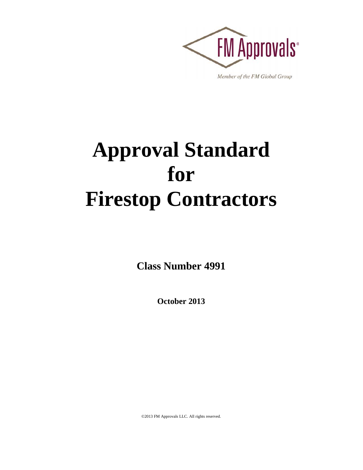

Member of the FM Global Group

# **Approval Standard for Firestop Contractors**

**Class Number 4991**

**October 2013**

©2013 FM Approvals LLC. All rights reserved.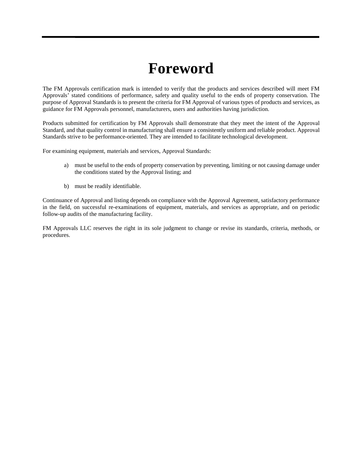## **Foreword**

The FM Approvals certification mark is intended to verify that the products and services described will meet FM Approvals' stated conditions of performance, safety and quality useful to the ends of property conservation. The purpose of Approval Standards is to present the criteria for FM Approval of various types of products and services, as guidance for FM Approvals personnel, manufacturers, users and authorities having jurisdiction.

Products submitted for certification by FM Approvals shall demonstrate that they meet the intent of the Approval Standard, and that quality control in manufacturing shall ensure a consistently uniform and reliable product. Approval Standards strive to be performance-oriented. They are intended to facilitate technological development.

For examining equipment, materials and services, Approval Standards:

- a) must be useful to the ends of property conservation by preventing, limiting or not causing damage under the conditions stated by the Approval listing; and
- b) must be readily identifiable.

Continuance of Approval and listing depends on compliance with the Approval Agreement, satisfactory performance in the field, on successful re-examinations of equipment, materials, and services as appropriate, and on periodic follow-up audits of the manufacturing facility.

FM Approvals LLC reserves the right in its sole judgment to change or revise its standards, criteria, methods, or procedures.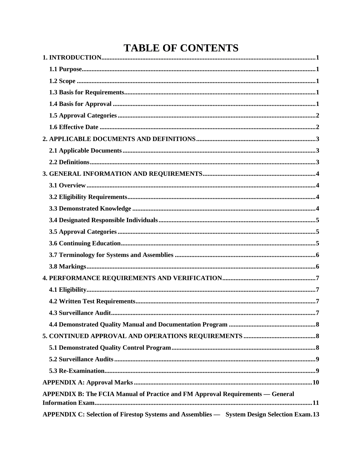## **TABLE OF CONTENTS**

| APPENDIX B: The FCIA Manual of Practice and FM Approval Requirements - General             |
|--------------------------------------------------------------------------------------------|
|                                                                                            |
| APPENDIX C: Selection of Firestop Systems and Assemblies - System Design Selection Exam.13 |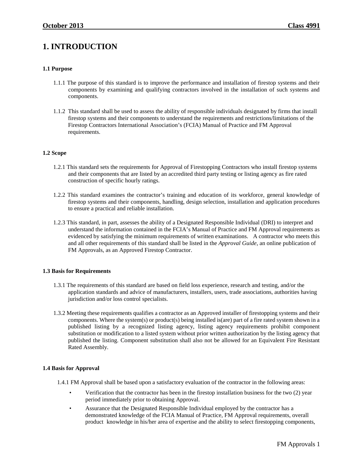## <span id="page-3-0"></span>**1. INTRODUCTION**

#### <span id="page-3-1"></span>**1.1 Purpose**

- 1.1.1 The purpose of this standard is to improve the performance and installation of firestop systems and their components by examining and qualifying contractors involved in the installation of such systems and components.
- 1.1.2 This standard shall be used to assess the ability of responsible individuals designated by firms that install firestop systems and their components to understand the requirements and restrictions/limitations of the Firestop Contractors International Association's (FCIA) Manual of Practice and FM Approval requirements.

#### <span id="page-3-2"></span>**1.2 Scope**

- 1.2.1 This standard sets the requirements for Approval of Firestopping Contractors who install firestop systems and their components that are listed by an accredited third party testing or listing agency as fire rated construction of specific hourly ratings.
- 1.2.2 This standard examines the contractor's training and education of its workforce, general knowledge of firestop systems and their components, handling, design selection, installation and application procedures to ensure a practical and reliable installation.
- 1.2.3 This standard, in part, assesses the ability of a Designated Responsible Individual (DRI) to interpret and understand the information contained in the FCIA's Manual of Practice and FM Approval requirements as evidenced by satisfying the minimum requirements of written examinations. A contractor who meets this and all other requirements of this standard shall be listed in the *Approval Guide*, an online publication of FM Approvals, as an Approved Firestop Contractor.

#### <span id="page-3-3"></span>**1.3 Basis for Requirements**

- 1.3.1 The requirements of this standard are based on field loss experience, research and testing, and/or the application standards and advice of manufacturers, installers, users, trade associations, authorities having jurisdiction and/or loss control specialists.
- 1.3.2 Meeting these requirements qualifies a contractor as an Approved installer of firestopping systems and their components. Where the system(s) or product(s) being installed is(are) part of a fire rated system shown in a published listing by a recognized listing agency, listing agency requirements prohibit component substitution or modification to a listed system without prior written authorization by the listing agency that published the listing. Component substitution shall also not be allowed for an Equivalent Fire Resistant Rated Assembly.

#### <span id="page-3-4"></span>**1.4 Basis for Approval**

- 1.4.1 FM Approval shall be based upon a satisfactory evaluation of the contractor in the following areas:
	- Verification that the contractor has been in the firestop installation business for the two (2) year period immediately prior to obtaining Approval.
	- Assurance that the Designated Responsible Individual employed by the contractor has a demonstrated knowledge of the FCIA Manual of Practice, FM Approval requirements, overall product knowledge in his/her area of expertise and the ability to select firestopping components,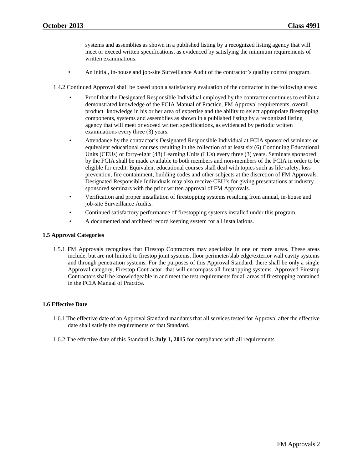systems and assemblies as shown in a published listing by a recognized listing agency that will meet or exceed written specifications, as evidenced by satisfying the minimum requirements of written examinations.

• An initial, in-house and job-site Surveillance Audit of the contractor's quality control program.

1.4.2 Continued Approval shall be based upon a satisfactory evaluation of the contractor in the following areas:

- Proof that the Designated Responsible Individual employed by the contractor continues to exhibit a demonstrated knowledge of the FCIA Manual of Practice, FM Approval requirements, overall product knowledge in his or her area of expertise and the ability to select appropriate firestopping components, systems and assemblies as shown in a published listing by a recognized listing agency that will meet or exceed written specifications, as evidenced by periodic written examinations every three (3) years.
- Attendance by the contractor's Designated Responsible Individual at FCIA sponsored seminars or equivalent educational courses resulting in the collection of at least six (6) Continuing Educational Units (CEUs) or forty-eight (48) Learning Units (LUs) every three (3) years. Seminars sponsored by the FCIA shall be made available to both members and non-members of the FCIA in order to be eligible for credit. Equivalent educational courses shall deal with topics such as life safety, loss prevention, fire containment, building codes and other subjects at the discretion of FM Approvals. Designated Responsible Individuals may also receive CEU's for giving presentations at industry sponsored seminars with the prior written approval of FM Approvals.
- Verification and proper installation of firestopping systems resulting from annual, in-house and job-site Surveillance Audits.
- Continued satisfactory performance of firestopping systems installed under this program.
- A documented and archived record keeping system for all installations.

#### <span id="page-4-0"></span>**1.5 Approval Categories**

1.5.1 FM Approvals recognizes that Firestop Contractors may specialize in one or more areas. These areas include, but are not limited to firestop joint systems, floor perimeter/slab edge/exterior wall cavity systems and through penetration systems. For the purposes of this Approval Standard, there shall be only a single Approval category, Firestop Contractor, that will encompass all firestopping systems. Approved Firestop Contractors shall be knowledgeable in and meet the test requirements for all areas of firestopping contained in the FCIA Manual of Practice.

#### <span id="page-4-1"></span>**1.6 Effective Date**

- 1.6.1 The effective date of an Approval Standard mandates that all services tested for Approval after the effective date shall satisfy the requirements of that Standard.
- 1.6.2 The effective date of this Standard is **July 1, 2015** for compliance with all requirements.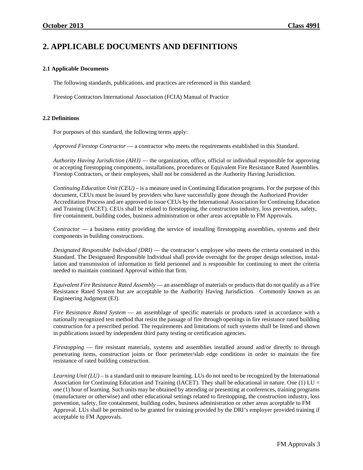## <span id="page-5-0"></span>**2. APPLICABLE DOCUMENTS AND DEFINITIONS**

#### <span id="page-5-1"></span>**2.1 Applicable Documents**

The following standards, publications, and practices are referenced in this standard:

Firestop Contractors International Association (FCIA) Manual of Practice

#### <span id="page-5-2"></span>**2.2 Definitions**

For purposes of this standard, the following terms apply:

*Approved Firestop Contractor* — a contractor who meets the requirements established in this Standard.

*Authority Having Jurisdiction (AHJ)* — the organization, office, official or individual responsible for approving or accepting firestopping components, installations, procedures or Equivalent Fire Resistance Rated Assemblies. Firestop Contractors, or their employees, shall not be considered as the Authority Having Jurisdiction.

*Continuing Education Unit (CEU) –* is a measure used in Continuing Education programs. For the purpose of this document, CEUs must be issued by providers who have successfully gone through the Authorized Provider Accreditation Process and are approved to issue CEUs by the International Association for Continuing Education and Training (IACET). CEUs shall be related to firestopping, the construction industry, loss prevention, safety, fire containment, building codes, business administration or other areas acceptable to FM Approvals.

*Contractor* — a business entity providing the service of installing firestopping assemblies, systems and their components in building constructions.

*Designated Responsible Individual (DRI)* — the contractor's employee who meets the criteria contained in this Standard. The Designated Responsible Individual shall provide oversight for the proper design selection, installation and transmission of information to field personnel and is responsible for continuing to meet the criteria needed to maintain continued Approval within that firm.

*Equivalent Fire Resistance Rated Assembly* — an assemblage of materials or products that do not qualify as a Fire Resistance Rated System but are acceptable to the Authority Having Jurisdiction. Commonly known as an Engineering Judgment (EJ).

*Fire Resistance Rated System* — an assemblage of specific materials or products rated in accordance with a nationally recognized test method that resist the passage of fire through openings in fire resistance rated building construction for a prescribed period. The requirements and limitations of such systems shall be listed and shown in publications issued by independent third party testing or certification agencies.

*Firestopping* — fire resistant materials, systems and assemblies installed around and/or directly to through penetrating items, construction joints or floor perimeter/slab edge conditions in order to maintain the fire resistance of rated building construction.

*Learning Unit (LU)* – is a standard unit to measure learning. LUs do not need to be recognized by the International Association for Continuing Education and Training (IACET). They shall be educational in nature. One (1) LU = one (1) hour of learning. Such units may be obtained by attending or presenting at conferences, training programs (manufacturer or otherwise) and other educational settings related to firestopping, the construction industry, loss prevention, safety, fire containment, building codes, business administration or other areas acceptable to FM Approval. LUs shall be permitted to be granted for training provided by the DRI's employer provided training if acceptable to FM Approvals.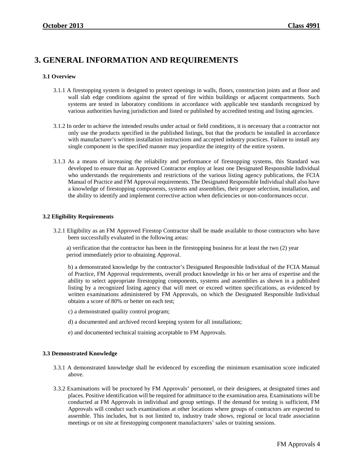### <span id="page-6-0"></span>**3. GENERAL INFORMATION AND REQUIREMENTS**

#### <span id="page-6-1"></span>**3.1 Overview**

- 3.1.1 A firestopping system is designed to protect openings in walls, floors, construction joints and at floor and wall slab edge conditions against the spread of fire within buildings or adjacent compartments. Such systems are tested in laboratory conditions in accordance with applicable test standards recognized by various authorities having jurisdiction and listed or published by accredited testing and listing agencies.
- 3.1.2 In order to achieve the intended results under actual or field conditions, it is necessary that a contractor not only use the products specified in the published listings, but that the products be installed in accordance with manufacturer's written installation instructions and accepted industry practices. Failure to install any single component in the specified manner may jeopardize the integrity of the entire system.
- 3.1.3 As a means of increasing the reliability and performance of firestopping systems, this Standard was developed to ensure that an Approved Contractor employ at least one Designated Responsible Individual who understands the requirements and restrictions of the various listing agency publications, the FCIA Manual of Practice and FM Approval requirements. The Designated Responsible Individual shall also have a knowledge of firestopping components, systems and assemblies, their proper selection, installation, and the ability to identify and implement corrective action when deficiencies or non-conformances occur.

#### <span id="page-6-2"></span>**3.2 Eligibility Requirements**

3.2.1 Eligibility as an FM Approved Firestop Contractor shall be made available to those contractors who have been successfully evaluated in the following areas:

a) verification that the contractor has been in the firestopping business for at least the two (2) year period immediately prior to obtaining Approval.

b) a demonstrated knowledge by the contractor's Designated Responsible Individual of the FCIA Manual of Practice, FM Approval requirements, overall product knowledge in his or her area of expertise and the ability to select appropriate firestopping components, systems and assemblies as shown in a published listing by a recognized listing agency that will meet or exceed written specifications, as evidenced by written examinations administered by FM Approvals, on which the Designated Responsible Individual obtains a score of 80% or better on each test;

- c) a demonstrated quality control program;
- d) a documented and archived record keeping system for all installations;
- e) and documented technical training acceptable to FM Approvals.

#### <span id="page-6-3"></span>**3.3 Demonstrated Knowledge**

- 3.3.1 A demonstrated knowledge shall be evidenced by exceeding the minimum examination score indicated above.
- 3.3.2 Examinations will be proctored by FM Approvals' personnel, or their designees, at designated times and places. Positive identification will be required for admittance to the examination area. Examinations will be conducted at FM Approvals in individual and group settings. If the demand for testing is sufficient, FM Approvals will conduct such examinations at other locations where groups of contractors are expected to assemble. This includes, but is not limited to, industry trade shows, regional or local trade association meetings or on site at firestopping component manufacturers' sales or training sessions.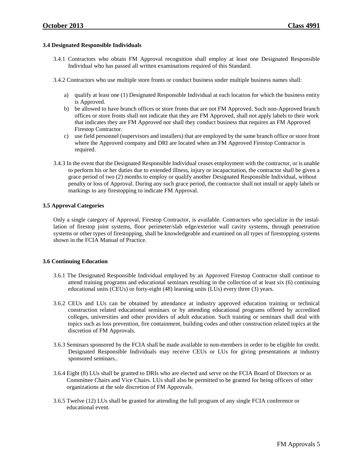#### <span id="page-7-0"></span>**3.4 Designated Responsible Individuals**

- 3.4.1 Contractors who obtain FM Approval recognition shall employ at least one Designated Responsible Individual who has passed all written examinations required of this Standard.
- 3.4.2 Contractors who use multiple store fronts or conduct business under multiple business names shall:
	- a) qualify at least one (1) Designated Responsible Individual at each location for which the business entity is Approved.
	- b) be allowed to have branch offices or store fronts that are not FM Approved. Such non-Approved branch offices or store fronts shall not indicate that they are FM Approved, shall not apply labels to their work that indicates they are FM Approved nor shall they conduct business that requires an FM Approved Firestop Contractor.
	- c) use field personnel (supervisors and installers) that are employed by the same branch office or store front where the Approved company and DRI are located when an FM Approved Firestop Contractor is required.
- 3.4.3 In the event that the Designated Responsible Individual ceases employment with the contractor, or is unable to perform his or her duties due to extended illness, injury or incapacitation, the contractor shall be given a grace period of two (2) months to employ or qualify another Designated Responsible Individual, without penalty or loss of Approval. During any such grace period, the contractor shall not install or apply labels or markings to any firestopping to indicate FM Approval.

#### <span id="page-7-1"></span>**3.5 Approval Categories**

Only a single category of Approval, Firestop Contractor, is available. Contractors who specialize in the installation of firestop joint systems, floor perimeter/slab edge/exterior wall cavity systems, through penetration systems or other types of firestopping, shall be knowledgeable and examined on all types of firestopping systems shown in the FCIA Manual of Practice.

#### <span id="page-7-2"></span>**3.6 Continuing Education**

- 3.6.1 The Designated Responsible Individual employed by an Approved Firestop Contractor shall continue to attend training programs and educational seminars resulting in the collection of at least six (6) continuing educational units (CEUs) or forty-eight (48) learning units (LUs) every three (3) years.
- 3.6.2 CEUs and LUs can be obtained by attendance at industry approved education training or technical construction related educational seminars or by attending educational programs offered by accredited colleges, universities and other providers of adult education. Such training or seminars shall deal with topics such as loss prevention, fire containment, building codes and other construction related topics at the discretion of FM Approvals.
- 3.6.3 Seminars sponsored by the FCIA shall be made available to non-members in order to be eligible for credit. Designated Responsible Individuals may receive CEUs or LUs for giving presentations at industry sponsored seminars..
- 3.6.4 Eight (8) LUs shall be granted to DRIs who are elected and serve on the FCIA Board of Directors or as Committee Chairs and Vice Chairs. LUs shall also be permitted to be granted for being officers of other organizations at the sole discretion of FM Approvals.
- 3.6.5 Twelve (12) LUs shall be granted for attending the full program of any single FCIA conference or educational event.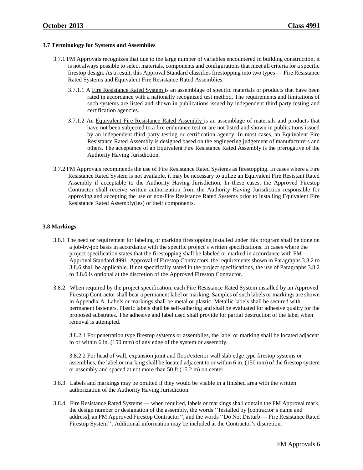#### <span id="page-8-0"></span>**3.7 Terminology for Systems and Assemblies**

- 3.7.1 FM Approvals recognizes that due to the large number of variables encountered in building construction, it is not always possible to select materials, components and configurations that meet all criteria for a specific firestop design. As a result, this Approval Standard classifies firestopping into two types — Fire Resistance Rated Systems and Equivalent Fire Resistance Rated Assemblies.
	- 3.7.1.1 A Fire Resistance Rated System is an assemblage of specific materials or products that have been rated in accordance with a nationally recognized test method. The requirements and limitations of such systems are listed and shown in publications issued by independent third party testing and certification agencies.
	- 3.7.1.2 An Equivalent Fire Resistance Rated Assembly is an assemblage of materials and products that have not been subjected to a fire endurance test or are not listed and shown in publications issued by an independent third party testing or certification agency. In most cases, an Equivalent Fire Resistance Rated Assembly is designed based on the engineering judgement of manufacturers and others. The acceptance of an Equivalent Fire Resistance Rated Assembly is the prerogative of the Authority Having Jurisdiction.
- 3.7.2 FM Approvals recommends the use of Fire Resistance Rated Systems as firestopping. In cases where a Fire Resistance Rated System is not available, it may be necessary to utilize an Equivalent Fire Resistant Rated Assembly if acceptable to the Authority Having Jurisdiction. In these cases, the Approved Firestop Contractor shall receive written authorization from the Authority Having Jurisdiction responsible for approving and accepting the use of non-Fire Resistance Rated Systems prior to installing Equivalent Fire Resistance Rated Assembly(ies) or their components.

#### <span id="page-8-1"></span>**3.8 Markings**

- 3.8.1 The need or requirement for labeling or marking firestopping installed under this program shall be done on a job-by-job basis in accordance with the specific project's written specifications. In cases where the project specification states that the firestopping shall be labeled or marked in accordance with FM Approval Standard 4991, Approval of Firestop Contractors, the requirements shown in Paragraphs 3.8.2 to 3.8.6 shall be applicable. If not specifically stated in the project specifications, the use of Paragraphs 3.8.2 to 3.8.6 is optional at the discretion of the Approved Firestop Contractor.
- 3.8.2 When required by the project specification, each Fire Resistance Rated System installed by an Approved Firestop Contractor shall bear a permanent label or marking. Samples of such labels or markings are shown in Appendix A. Labels or markings shall be metal or plastic. Metallic labels shall be secured with permanent fasteners. Plastic labels shall be self-adhering and shall be evaluated for adhesive quality for the proposed substrates. The adhesive and label used shall provide for partial destruction of the label when removal is attempted.

3.8.2.1 For penetration type firestop systems or assemblies, the label or marking shall be located adjacent to or within 6 in. (150 mm) of any edge of the system or assembly.

3.8.2.2 For head of wall, expansion joint and floor/exterior wall slab edge type firestop systems or assemblies, the label or marking shall be located adjacent to or within 6 in. (150 mm) of the firestop system or assembly and spaced at not more than 50 ft (15.2 m) on center.

- 3.8.3 Labels and markings may be omitted if they would be visible in a finished area with the written authorization of the Authority Having Jurisdiction.
- 3.8.4 Fire Resistance Rated Systems when required, labels or markings shall contain the FM Approval mark, the design number or designation of the assembly, the words ''Installed by [contractor's name and address], an FM Approved Firestop Contractor'', and the words ''Do Not Disturb — Fire Resistance Rated Firestop System''. Additional information may be included at the Contractor's discretion.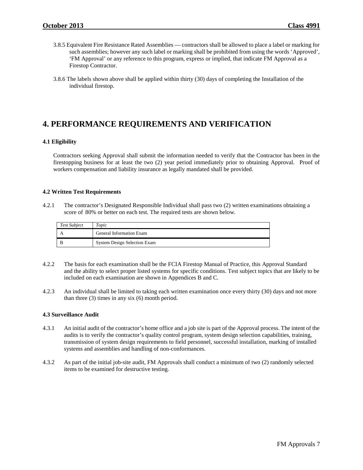- 3.8.5 Equivalent Fire Resistance Rated Assemblies contractors shall be allowed to place a label or marking for such assemblies; however any such label or marking shall be prohibited from using the words 'Approved', 'FM Approval' or any reference to this program, express or implied, that indicate FM Approval as a Firestop Contractor.
- 3.8.6 The labels shown above shall be applied within thirty (30) days of completing the Installation of the individual firestop.

### <span id="page-9-0"></span>**4. PERFORMANCE REQUIREMENTS AND VERIFICATION**

#### <span id="page-9-1"></span>**4.1 Eligibility**

Contractors seeking Approval shall submit the information needed to verify that the Contractor has been in the firestopping business for at least the two (2) year period immediately prior to obtaining Approval. Proof of workers compensation and liability insurance as legally mandated shall be provided.

#### <span id="page-9-2"></span>**4.2 Written Test Requirements**

4.2.1 The contractor's Designated Responsible Individual shall pass two (2) written examinations obtaining a score of 80% or better on each test. The required tests are shown below.

| Test Subject | Topic                        |
|--------------|------------------------------|
|              | General Information Exam     |
|              | System Design Selection Exam |

- 4.2.2 The basis for each examination shall be the FCIA Firestop Manual of Practice, this Approval Standard and the ability to select proper listed systems for specific conditions. Test subject topics that are likely to be included on each examination are shown in Appendices B and C.
- 4.2.3 An individual shall be limited to taking each written examination once every thirty (30) days and not more than three (3) times in any six (6) month period.

#### <span id="page-9-3"></span>**4.3 Surveillance Audit**

- 4.3.1 An initial audit of the contractor's home office and a job site is part of the Approval process. The intent of the audits is to verify the contractor's quality control program, system design selection capabilities, training, transmission of system design requirements to field personnel, successful installation, marking of installed systems and assemblies and handling of non-conformances.
- 4.3.2 As part of the initial job-site audit, FM Approvals shall conduct a minimum of two (2) randomly selected items to be examined for destructive testing.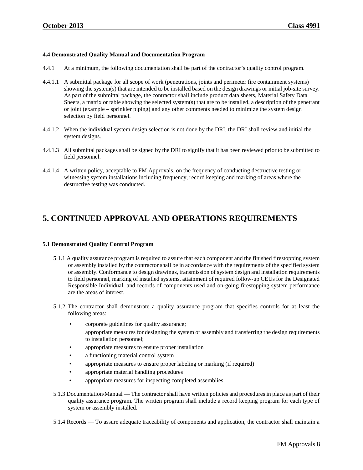#### <span id="page-10-0"></span>**4.4 Demonstrated Quality Manual and Documentation Program**

- 4.4.1 At a minimum, the following documentation shall be part of the contractor's quality control program.
- 4.4.1.1 A submittal package for all scope of work (penetrations, joints and perimeter fire containment systems) showing the system(s) that are intended to be installed based on the design drawings or initial job-site survey. As part of the submittal package, the contractor shall include product data sheets, Material Safety Data Sheets, a matrix or table showing the selected system(s) that are to be installed, a description of the penetrant or joint (example – sprinkler piping) and any other comments needed to minimize the system design selection by field personnel.
- 4.4.1.2 When the individual system design selection is not done by the DRI, the DRI shall review and initial the system designs.
- 4.4.1.3 All submittal packages shall be signed by the DRI to signify that it has been reviewed prior to be submitted to field personnel.
- 4.4.1.4 A written policy, acceptable to FM Approvals, on the frequency of conducting destructive testing or witnessing system installations including frequency, record keeping and marking of areas where the destructive testing was conducted.

## <span id="page-10-1"></span>**5. CONTINUED APPROVAL AND OPERATIONS REQUIREMENTS**

#### <span id="page-10-2"></span>**5.1 Demonstrated Quality Control Program**

- 5.1.1 A quality assurance program is required to assure that each component and the finished firestopping system or assembly installed by the contractor shall be in accordance with the requirements of the specified system or assembly. Conformance to design drawings, transmission of system design and installation requirements to field personnel, marking of installed systems, attainment of required follow-up CEUs for the Designated Responsible Individual, and records of components used and on-going firestopping system performance are the areas of interest.
- 5.1.2 The contractor shall demonstrate a quality assurance program that specifies controls for at least the following areas:
	- corporate guidelines for quality assurance;
		- appropriate measures for designing the system or assembly and transferring the design requirements to installation personnel;
	- appropriate measures to ensure proper installation
	- a functioning material control system
	- appropriate measures to ensure proper labeling or marking (if required)
	- appropriate material handling procedures
	- appropriate measures for inspecting completed assemblies
- 5.1.3 Documentation/Manual The contractor shall have written policies and procedures in place as part of their quality assurance program. The written program shall include a record keeping program for each type of system or assembly installed.
- 5.1.4 Records To assure adequate traceability of components and application, the contractor shall maintain a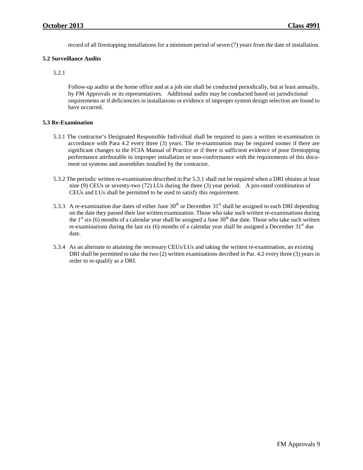record of all firestopping installations for a minimum period of seven (7) years from the date of installation.

#### <span id="page-11-0"></span>**5.2 Surveillance Audits**

5.2.1

Follow-up audits at the home office and at a job site shall be conducted periodically, but at least annually, by FM Approvals or its representatives. Additional audits may be conducted based on jurisdictional requirements or if deficiencies in installations or evidence of improper system design selection are found to have occurred.

#### <span id="page-11-1"></span>**5.3 Re-Examination**

- 5.3.1 The contractor's Designated Responsible Individual shall be required to pass a written re-examination in accordance with Para 4.2 every three (3) years. The re-examination may be required sooner if there are significant changes to the FCIA Manual of Practice or if there is sufficient evidence of poor firestopping performance attributable to improper installation or non-conformance with the requirements of this document on systems and assemblies installed by the contractor.
- 5.3.2 The periodic written re-examination described in Par 5.3.1 shall not be required when a DRI obtains at least nine (9) CEUs or seventy-two (72) LUs during the three (3) year period. A pro-rated combination of CEUs and LUs shall be permitted to be used to satisfy this requirement.
- 5.3.3 A re-examination due dates of either June  $30<sup>th</sup>$  or December  $31<sup>st</sup>$  shall be assigned to each DRI depending on the date they passed their last written examination. Those who take such written re-examinations during the  $1<sup>st</sup>$  six (6) months of a calendar year shall be assigned a June 30<sup>th</sup> due date. Those who take such written re-examinations during the last six  $(6)$  months of a calendar year shall be assigned a December  $31<sup>st</sup>$  due date.
- 5.3.4 As an alternate to attaining the necessary CEUs/LUs and taking the written re-examination, an existing DRI shall be permitted to take the two (2) written examinations decribed in Par. 4.2 every three (3) years in order to re-qualify as a DRI.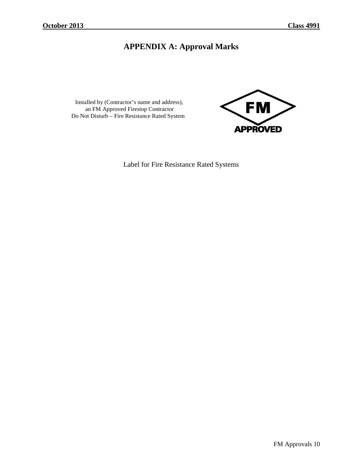## **APPENDIX A: Approval Marks**

<span id="page-12-0"></span>Installed by (Contractor's name and address), an FM Approved Firestop Contractor Do Not Disturb – Fire Resistance Rated System



Label for Fire Resistance Rated Systems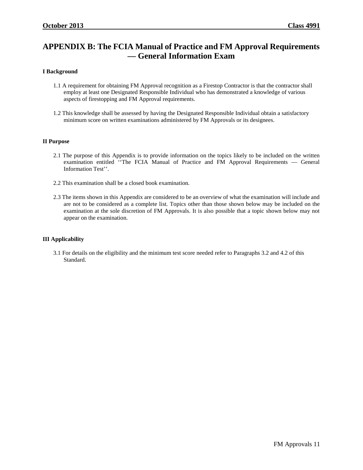## <span id="page-13-0"></span>**APPENDIX B: The FCIA Manual of Practice and FM Approval Requirements — General Information Exam**

#### **I Background**

- 1.1 A requirement for obtaining FM Approval recognition as a Firestop Contractor is that the contractor shall employ at least one Designated Responsible Individual who has demonstrated a knowledge of various aspects of firestopping and FM Approval requirements.
- 1.2 This knowledge shall be assessed by having the Designated Responsible Individual obtain a satisfactory minimum score on written examinations administered by FM Approvals or its designees.

#### **II Purpose**

- 2.1 The purpose of this Appendix is to provide information on the topics likely to be included on the written examination entitled ''The FCIA Manual of Practice and FM Approval Requirements — General Information Test''.
- 2.2 This examination shall be a closed book examination.
- 2.3 The items shown in this Appendix are considered to be an overview of what the examination will include and are not to be considered as a complete list. Topics other than those shown below may be included on the examination at the sole discretion of FM Approvals. It is also possible that a topic shown below may not appear on the examination.

#### **III Applicability**

3.1 For details on the eligibility and the minimum test score needed refer to Paragraphs 3.2 and 4.2 of this Standard.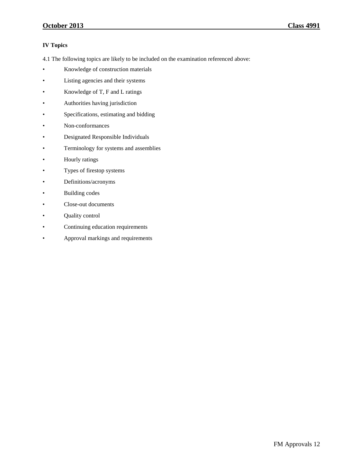#### **October 2013 Class 4991**

#### **IV Topics**

- 4.1 The following topics are likely to be included on the examination referenced above:
- Knowledge of construction materials
- Listing agencies and their systems
- Knowledge of T, F and L ratings
- Authorities having jurisdiction
- Specifications, estimating and bidding
- Non-conformances
- Designated Responsible Individuals
- Terminology for systems and assemblies
- Hourly ratings
- Types of firestop systems
- Definitions/acronyms
- Building codes
- Close-out documents
- Quality control
- Continuing education requirements
- Approval markings and requirements